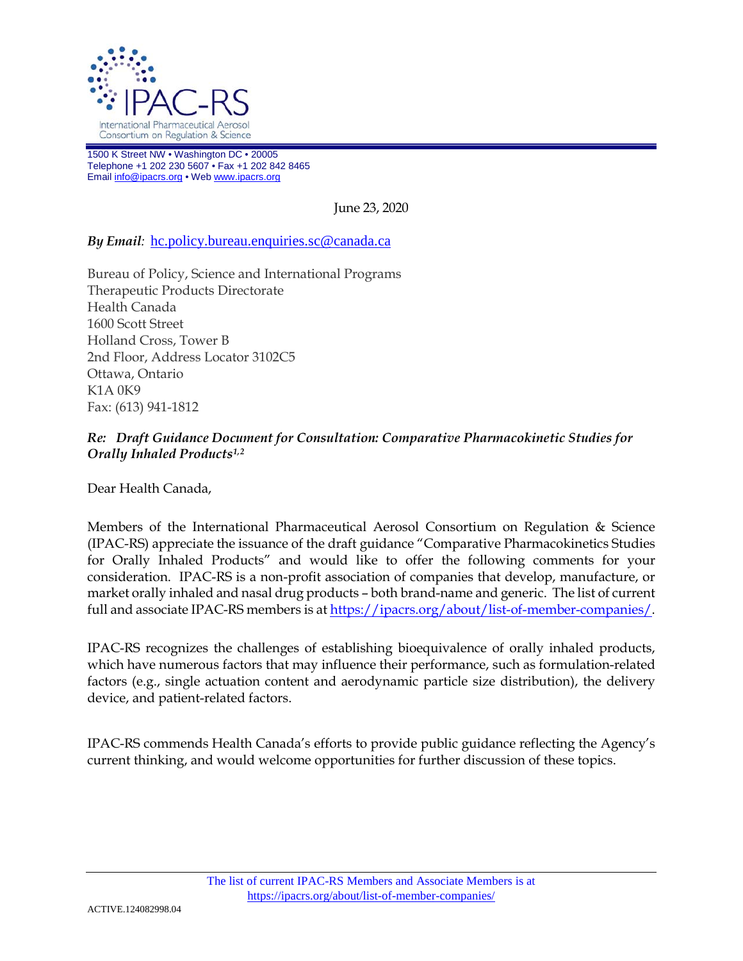

1500 K Street NW • Washington DC • 20005 Telephone +1 202 230 5607 • Fax +1 202 842 8465 Emai[l info@ipacrs.org](mailto:info@ipacrs.org) • We[b www.ipacrs.org](http://www.ipacrs.org/)

June 23, 2020

## *By Email:* [hc.policy.bureau.enquiries.sc@canada.ca](mailto:hc.policy.bureau.enquiries.sc@canada.ca)

Bureau of Policy, Science and International Programs Therapeutic Products Directorate Health Canada 1600 Scott Street Holland Cross, Tower B 2nd Floor, Address Locator 3102C5 Ottawa, Ontario K1A 0K9 Fax: (613) 941-1812

## *Re: Draft Guidance Document for Consultation: Comparative Pharmacokinetic Studies for Orally Inhaled Products[1,](#page-1-0)[2](#page-1-1)*

Dear Health Canada,

Members of the International Pharmaceutical Aerosol Consortium on Regulation & Science (IPAC-RS) appreciate the issuance of the draft guidance "Comparative Pharmacokinetics Studies for Orally Inhaled Products" and would like to offer the following comments for your consideration. IPAC-RS is a non-profit association of companies that develop, manufacture, or market orally inhaled and nasal drug products – both brand-name and generic. The list of current full and associate IPAC-RS members is at [https://ipacrs.org/about/list-of-member-companies/.](https://ipacrs.org/about/list-of-member-companies/)

IPAC-RS recognizes the challenges of establishing bioequivalence of orally inhaled products, which have numerous factors that may influence their performance, such as formulation-related factors (e.g., single actuation content and aerodynamic particle size distribution), the delivery device, and patient-related factors.

IPAC-RS commends Health Canada's efforts to provide public guidance reflecting the Agency's current thinking, and would welcome opportunities for further discussion of these topics.